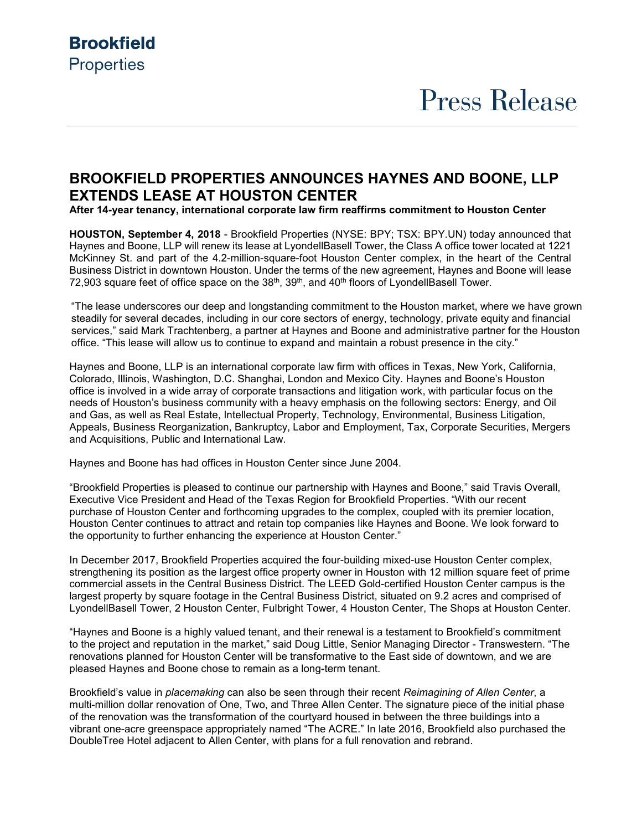## **Brookfield Properties**

# **Press Release**

### **BROOKFIELD PROPERTIES ANNOUNCES HAYNES AND BOONE, LLP EXTENDS LEASE AT HOUSTON CENTER**

**After 14-year tenancy, international corporate law firm reaffirms commitment to Houston Center**

**HOUSTON, September 4, 2018** - Brookfield Properties (NYSE: BPY; TSX: BPY.UN) today announced that Haynes and Boone, LLP will renew its lease at LyondellBasell Tower, the Class A office tower located at 1221 McKinney St. and part of the 4.2-million-square-foot Houston Center complex, in the heart of the Central Business District in downtown Houston. Under the terms of the new agreement, Haynes and Boone will lease 72,903 square feet of office space on the 38<sup>th</sup>, 39<sup>th</sup>, and 40<sup>th</sup> floors of LyondellBasell Tower.

"The lease underscores our deep and longstanding commitment to the Houston market, where we have grown steadily for several decades, including in our core sectors of energy, technology, private equity and financial services," said Mark Trachtenberg, a partner at Haynes and Boone and administrative partner for the Houston office. "This lease will allow us to continue to expand and maintain a robust presence in the city."

Haynes and Boone, LLP is an international corporate law firm with offices in Texas, New York, California, Colorado, Illinois, Washington, D.C. Shanghai, London and Mexico City. Haynes and Boone's Houston office is involved in a wide array of corporate transactions and litigation work, with particular focus on the needs of Houston's business community with a heavy emphasis on the following sectors: Energy, and Oil and Gas, as well as Real Estate, Intellectual Property, Technology, Environmental, Business Litigation, Appeals, Business Reorganization, Bankruptcy, Labor and Employment, Tax, Corporate Securities, Mergers and Acquisitions, Public and International Law.

Haynes and Boone has had offices in Houston Center since June 2004.

"Brookfield Properties is pleased to continue our partnership with Haynes and Boone," said Travis Overall, Executive Vice President and Head of the Texas Region for Brookfield Properties. "With our recent purchase of Houston Center and forthcoming upgrades to the complex, coupled with its premier location, Houston Center continues to attract and retain top companies like Haynes and Boone. We look forward to the opportunity to further enhancing the experience at Houston Center."

In December 2017, Brookfield Properties acquired the four-building mixed-use Houston Center complex, strengthening its position as the largest office property owner in Houston with 12 million square feet of prime commercial assets in the Central Business District. The LEED Gold-certified Houston Center campus is the largest property by square footage in the Central Business District, situated on 9.2 acres and comprised of LyondellBasell Tower, 2 Houston Center, Fulbright Tower, 4 Houston Center, The Shops at Houston Center.

"Haynes and Boone is a highly valued tenant, and their renewal is a testament to Brookfield's commitment to the project and reputation in the market," said Doug Little, Senior Managing Director - Transwestern. "The renovations planned for Houston Center will be transformative to the East side of downtown, and we are pleased Haynes and Boone chose to remain as a long-term tenant.

Brookfield's value in *placemaking* can also be seen through their recent *Reimagining of Allen Center*, a multi-million dollar renovation of One, Two, and Three Allen Center. The signature piece of the initial phase of the renovation was the transformation of the courtyard housed in between the three buildings into a vibrant one-acre greenspace appropriately named "The ACRE." In late 2016, Brookfield also purchased the DoubleTree Hotel adjacent to Allen Center, with plans for a full renovation and rebrand.